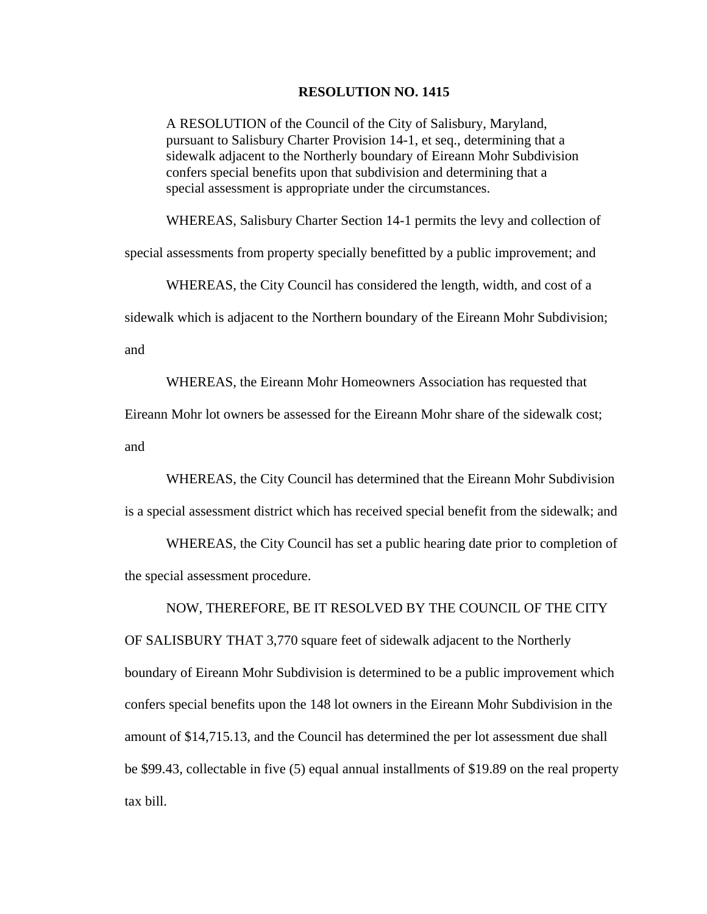## **RESOLUTION NO. 1415**

A RESOLUTION of the Council of the City of Salisbury, Maryland, pursuant to Salisbury Charter Provision 14-1, et seq., determining that a sidewalk adjacent to the Northerly boundary of Eireann Mohr Subdivision confers special benefits upon that subdivision and determining that a special assessment is appropriate under the circumstances.

WHEREAS, Salisbury Charter Section 14-1 permits the levy and collection of

special assessments from property specially benefitted by a public improvement; and

WHEREAS, the City Council has considered the length, width, and cost of a

sidewalk which is adjacent to the Northern boundary of the Eireann Mohr Subdivision;

and

WHEREAS, the Eireann Mohr Homeowners Association has requested that

Eireann Mohr lot owners be assessed for the Eireann Mohr share of the sidewalk cost;

and

WHEREAS, the City Council has determined that the Eireann Mohr Subdivision

is a special assessment district which has received special benefit from the sidewalk; and

 WHEREAS, the City Council has set a public hearing date prior to completion of the special assessment procedure.

NOW, THEREFORE, BE IT RESOLVED BY THE COUNCIL OF THE CITY

OF SALISBURY THAT 3,770 square feet of sidewalk adjacent to the Northerly boundary of Eireann Mohr Subdivision is determined to be a public improvement which confers special benefits upon the 148 lot owners in the Eireann Mohr Subdivision in the amount of \$14,715.13, and the Council has determined the per lot assessment due shall be \$99.43, collectable in five (5) equal annual installments of \$19.89 on the real property tax bill.